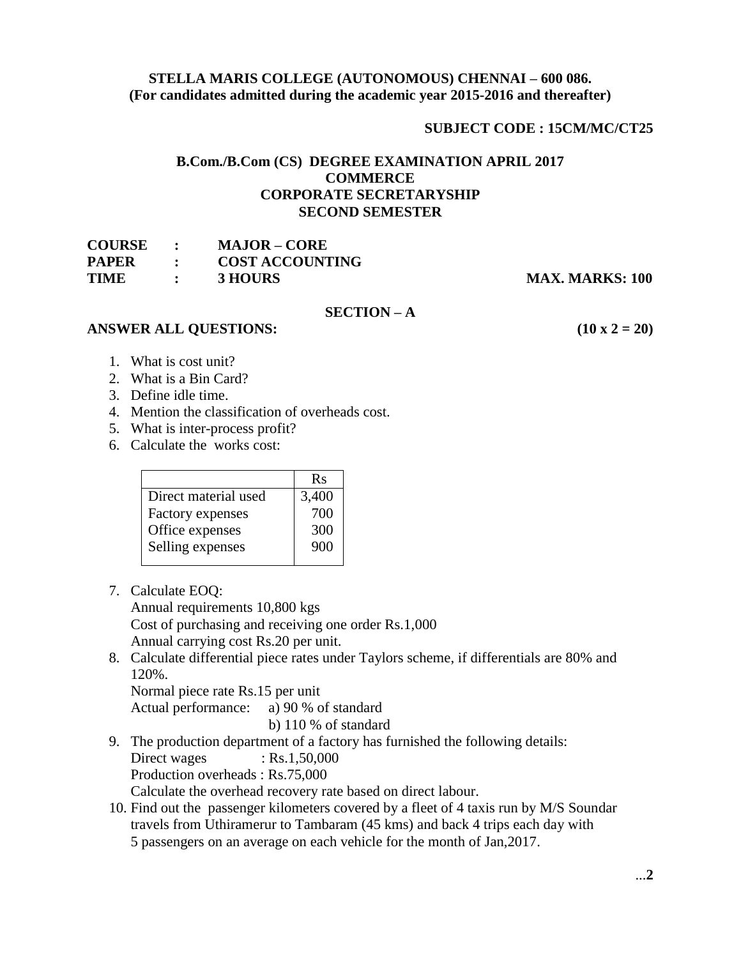## **STELLA MARIS COLLEGE (AUTONOMOUS) CHENNAI – 600 086. (For candidates admitted during the academic year 2015-2016 and thereafter)**

### **SUBJECT CODE : 15CM/MC/CT25**

## **B.Com./B.Com (CS) DEGREE EXAMINATION APRIL 2017 COMMERCE CORPORATE SECRETARYSHIP SECOND SEMESTER**

| <b>COURSE</b> |                | <b>MAJOR – CORE</b>    |
|---------------|----------------|------------------------|
| <b>PAPER</b>  | $\ddot{\cdot}$ | <b>COST ACCOUNTING</b> |
| <b>TIME</b>   | $\ddot{\cdot}$ | 3 HOURS                |

**MAX. MARKS: 100** 

#### **SECTION – A**

#### **ANSWER ALL QUESTIONS:** (10 **x** 2 = 20)

- 1. What is cost unit?
- 2. What is a Bin Card?
- 3. Define idle time.
- 4. Mention the classification of overheads cost.
- 5. What is inter-process profit?
- 6. Calculate the works cost:

|                      | Rs    |
|----------------------|-------|
| Direct material used | 3,400 |
| Factory expenses     | 700   |
| Office expenses      | 300   |
| Selling expenses     | 900   |
|                      |       |

7. Calculate EOQ:

Annual requirements 10,800 kgs Cost of purchasing and receiving one order Rs.1,000 Annual carrying cost Rs.20 per unit.

8. Calculate differential piece rates under Taylors scheme, if differentials are 80% and 120%.

Normal piece rate Rs.15 per unit

Actual performance: a) 90 % of standard

b) 110 % of standard

9. The production department of a factory has furnished the following details:

 $Direct wages : Rs.1,50,000$ 

Production overheads : Rs.75,000

Calculate the overhead recovery rate based on direct labour.

10. Find out the passenger kilometers covered by a fleet of 4 taxis run by M/S Soundar travels from Uthiramerur to Tambaram (45 kms) and back 4 trips each day with 5 passengers on an average on each vehicle for the month of Jan,2017.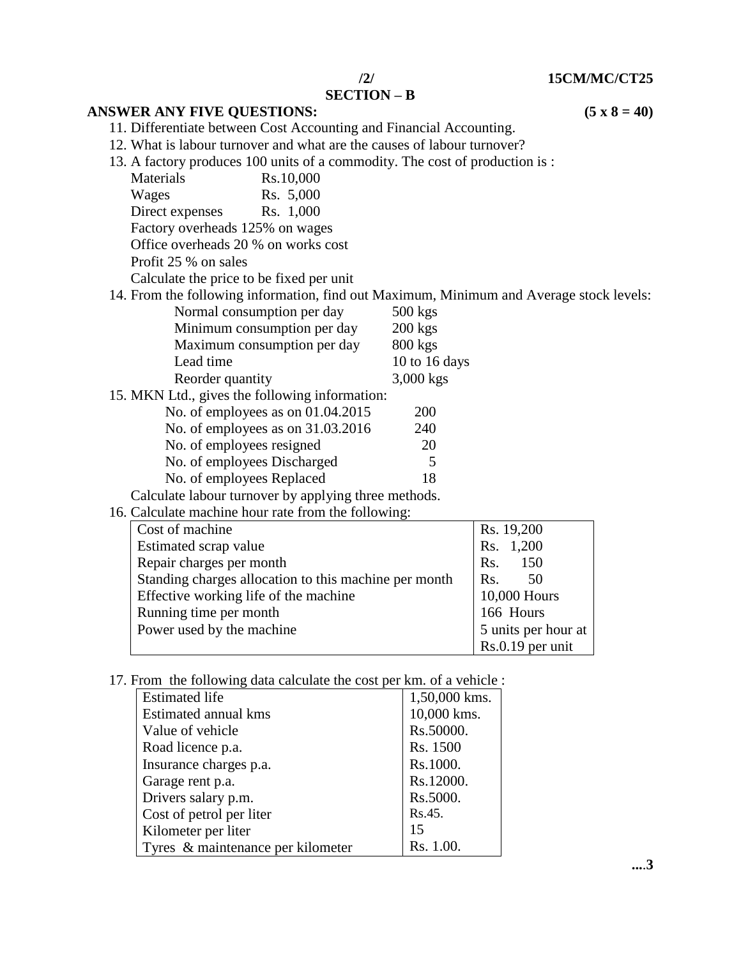**/2/ 15CM/MC/CT25**

## **SECTION – B**

**ANSWER ANY FIVE QUESTIONS: (5 x 8 = 40)**

11. Differentiate between Cost Accounting and Financial Accounting.

12. What is labour turnover and what are the causes of labour turnover?

13. A factory produces 100 units of a commodity. The cost of production is :

| Materials                           | Rs.10,000                                |                 |                                                                                         |  |
|-------------------------------------|------------------------------------------|-----------------|-----------------------------------------------------------------------------------------|--|
| Wages                               | Rs. 5,000                                |                 |                                                                                         |  |
| Direct expenses                     | Rs. 1,000                                |                 |                                                                                         |  |
| Factory overheads 125% on wages     |                                          |                 |                                                                                         |  |
| Office overheads 20 % on works cost |                                          |                 |                                                                                         |  |
| Profit 25 % on sales                |                                          |                 |                                                                                         |  |
|                                     | Calculate the price to be fixed per unit |                 |                                                                                         |  |
|                                     |                                          |                 | 14. From the following information, find out Maximum, Minimum and Average stock levels: |  |
|                                     | Normal consumption per day               | $500$ kgs       |                                                                                         |  |
|                                     | Minimum consumption per day              | $200 \text{ k}$ |                                                                                         |  |

| Minimum consumption per day                          | $200$ kgs     |
|------------------------------------------------------|---------------|
| Maximum consumption per day                          | 800 kgs       |
| Lead time                                            | 10 to 16 days |
| Reorder quantity                                     | 3,000 kgs     |
| 15. MKN Ltd., gives the following information:       |               |
| No. of employees as on $01.04.2015$                  | 200           |
| No. of employees as on 31.03.2016                    | 240           |
| No. of employees resigned                            | 20            |
| No. of employees Discharged                          | 5             |
| No. of employees Replaced                            | 18            |
| Calculate labour turnover by applying three methods. |               |

# 16. Calculate machine hour rate from the following:

| Cost of machine                                       | Rs. 19,200          |
|-------------------------------------------------------|---------------------|
| Estimated scrap value                                 | Rs. 1,200           |
| Repair charges per month                              | Rs. 150             |
| Standing charges allocation to this machine per month | Rs.<br>.50          |
| Effective working life of the machine                 | 10,000 Hours        |
| Running time per month                                | 166 Hours           |
| Power used by the machine                             | 5 units per hour at |
|                                                       | $Rs.0.19$ per unit  |

17. From the following data calculate the cost per km. of a vehicle :

| <b>Estimated life</b>             | 1,50,000 kms. |
|-----------------------------------|---------------|
| Estimated annual kms              | 10,000 kms.   |
| Value of vehicle                  | Rs.50000.     |
| Road licence p.a.                 | Rs. 1500      |
| Insurance charges p.a.            | Rs.1000.      |
| Garage rent p.a.                  | Rs.12000.     |
| Drivers salary p.m.               | Rs.5000.      |
| Cost of petrol per liter          | Rs.45.        |
| Kilometer per liter               | 15            |
| Tyres & maintenance per kilometer | Rs. 1.00.     |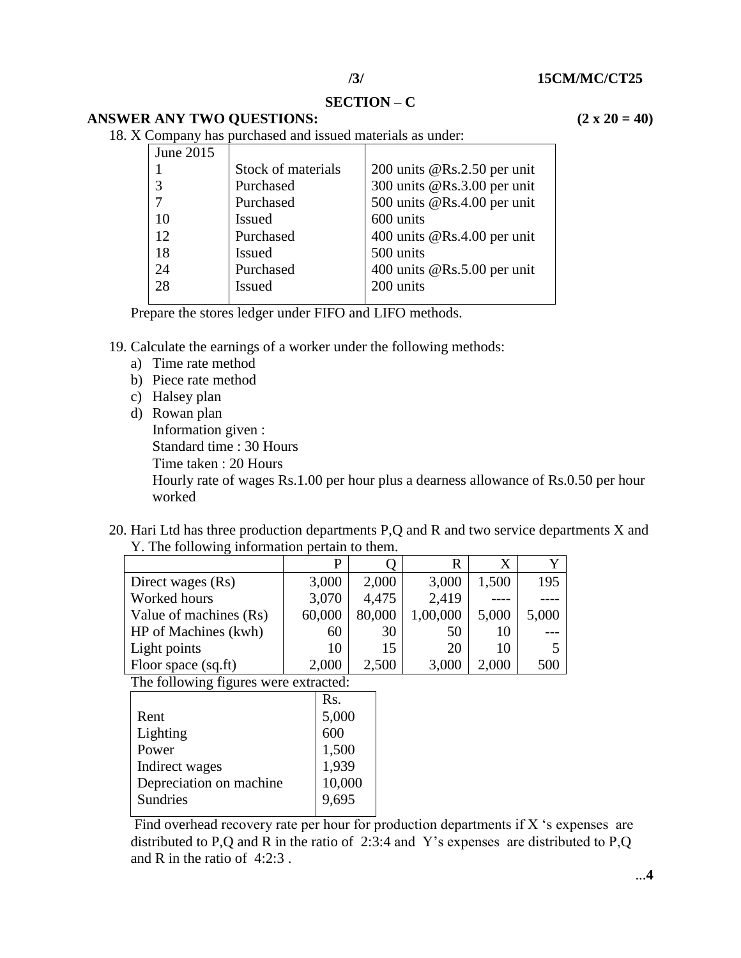**SECTION – C**

| <b>ANSWER ANY TWO QUESTIONS:</b> | $(2 \times 20 = 40)$ |
|----------------------------------|----------------------|
|                                  |                      |

18. X Company has purchased and issued materials as under:

| Company nas parenasea ana issaea matemais as anaer. |                    |                               |  |  |  |
|-----------------------------------------------------|--------------------|-------------------------------|--|--|--|
| June 2015                                           |                    |                               |  |  |  |
|                                                     | Stock of materials | 200 units $@Rs.2.50$ per unit |  |  |  |
|                                                     | Purchased          | 300 units @Rs.3.00 per unit   |  |  |  |
|                                                     | Purchased          | 500 units @Rs.4.00 per unit   |  |  |  |
| 10                                                  | <b>Issued</b>      | 600 units                     |  |  |  |
| 12                                                  | Purchased          | 400 units $@Rs.4.00$ per unit |  |  |  |
| 18                                                  | <b>Issued</b>      | 500 units                     |  |  |  |
| 24                                                  | Purchased          | 400 units @Rs.5.00 per unit   |  |  |  |
| 28                                                  | <b>Issued</b>      | 200 units                     |  |  |  |
|                                                     |                    |                               |  |  |  |

Prepare the stores ledger under FIFO and LIFO methods.

- 19. Calculate the earnings of a worker under the following methods:
	- a) Time rate method
	- b) Piece rate method
	- c) Halsey plan
	- d) Rowan plan

Information given : Standard time : 30 Hours Time taken : 20 Hours Hourly rate of wages Rs.1.00 per hour plus a dearness allowance of Rs.0.50 per hour worked

20. Hari Ltd has three production departments P,Q and R and two service departments X and Y. The following information pertain to them.

|                        | D      |        | R        | X     |       |
|------------------------|--------|--------|----------|-------|-------|
| Direct wages (Rs)      | 3,000  | 2,000  | 3,000    | 1,500 | 195   |
| Worked hours           | 3,070  | 4,475  | 2,419    |       |       |
| Value of machines (Rs) | 60,000 | 80,000 | 1,00,000 | 5,000 | 5,000 |
| HP of Machines (kwh)   | 60     | 30     | 50       | 10    |       |
| Light points           | 10     | 15     | 20       | 10    |       |
| Floor space (sq.ft)    | 2,000  | 2,500  | 3,000    | 2.000 | 500   |

The following figures were extracted:

|                         | Rs.    |
|-------------------------|--------|
| Rent                    | 5,000  |
| Lighting                | 600    |
| Power                   | 1,500  |
| Indirect wages          | 1,939  |
| Depreciation on machine | 10,000 |
| <b>Sundries</b>         | 9.695  |
|                         |        |

Find overhead recovery rate per hour for production departments if X 's expenses are distributed to P,Q and R in the ratio of 2:3:4 and Y's expenses are distributed to P,Q and R in the ratio of 4:2:3 .